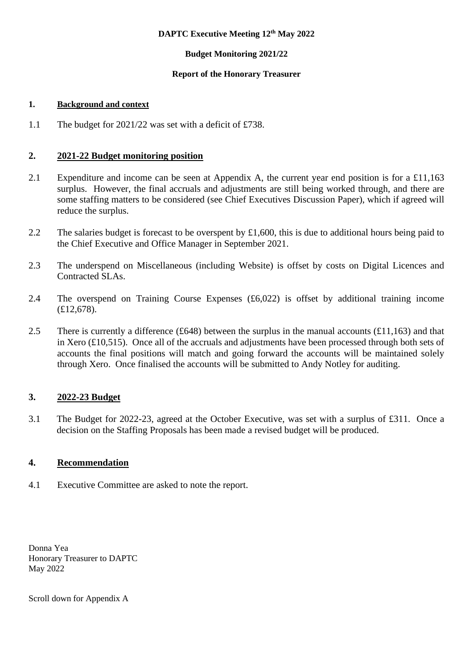## **DAPTC Executive Meeting 12th May 2022**

## **Budget Monitoring 2021/22**

## **Report of the Honorary Treasurer**

## **1. Background and context**

1.1 The budget for 2021/22 was set with a deficit of £738.

# **2. 2021-22 Budget monitoring position**

- 2.1 Expenditure and income can be seen at Appendix A, the current year end position is for a £11,163 surplus. However, the final accruals and adjustments are still being worked through, and there are some staffing matters to be considered (see Chief Executives Discussion Paper), which if agreed will reduce the surplus.
- 2.2 The salaries budget is forecast to be overspent by £1,600, this is due to additional hours being paid to the Chief Executive and Office Manager in September 2021.
- 2.3 The underspend on Miscellaneous (including Website) is offset by costs on Digital Licences and Contracted SLAs.
- 2.4 The overspend on Training Course Expenses (£6,022) is offset by additional training income (£12,678).
- 2.5 There is currently a difference (£648) between the surplus in the manual accounts ( $£11,163$ ) and that in Xero (£10,515). Once all of the accruals and adjustments have been processed through both sets of accounts the final positions will match and going forward the accounts will be maintained solely through Xero. Once finalised the accounts will be submitted to Andy Notley for auditing.

# **3. 2022-23 Budget**

3.1 The Budget for 2022-23, agreed at the October Executive, was set with a surplus of £311. Once a decision on the Staffing Proposals has been made a revised budget will be produced.

# **4. Recommendation**

4.1 Executive Committee are asked to note the report.

Donna Yea Honorary Treasurer to DAPTC May 2022

Scroll down for Appendix A